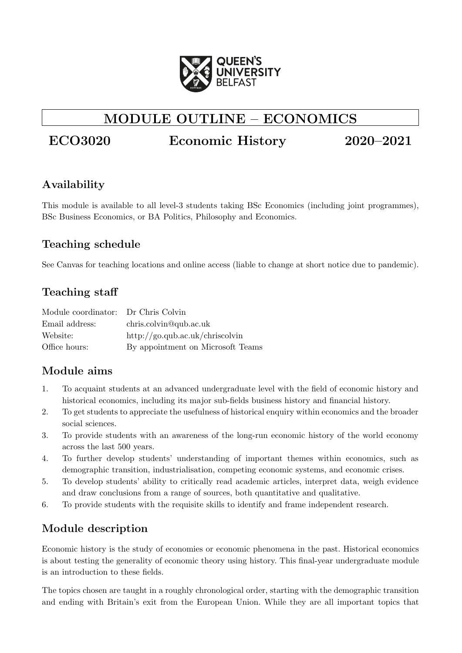

# MODULE OUTLINE – ECONOMICS

# ECO3020 Economic History 2020–2021

# Availability

This module is available to all level-3 students taking BSc Economics (including joint programmes), BSc Business Economics, or BA Politics, Philosophy and Economics.

# Teaching schedule

See Canvas for teaching locations and online access (liable to change at short notice due to pandemic).

# Teaching staff

| Module coordinator: Dr Chris Colvin |                                   |
|-------------------------------------|-----------------------------------|
| Email address:                      | chris.colvin@qub.ac.uk            |
| Website:                            | http://go.qub.ac.uk/chriscolvin   |
| Office hours:                       | By appointment on Microsoft Teams |

# Module aims

- 1. To acquaint students at an advanced undergraduate level with the field of economic history and historical economics, including its major sub-fields business history and financial history.
- 2. To get students to appreciate the usefulness of historical enquiry within economics and the broader social sciences.
- 3. To provide students with an awareness of the long-run economic history of the world economy across the last 500 years.
- 4. To further develop students' understanding of important themes within economics, such as demographic transition, industrialisation, competing economic systems, and economic crises.
- 5. To develop students' ability to critically read academic articles, interpret data, weigh evidence and draw conclusions from a range of sources, both quantitative and qualitative.
- 6. To provide students with the requisite skills to identify and frame independent research.

# Module description

Economic history is the study of economies or economic phenomena in the past. Historical economics is about testing the generality of economic theory using history. This final-year undergraduate module is an introduction to these fields.

The topics chosen are taught in a roughly chronological order, starting with the demographic transition and ending with Britain's exit from the European Union. While they are all important topics that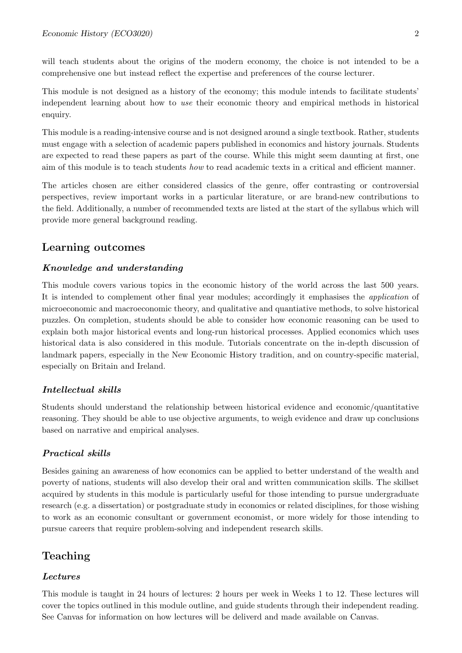will teach students about the origins of the modern economy, the choice is not intended to be a comprehensive one but instead reflect the expertise and preferences of the course lecturer.

This module is not designed as a history of the economy; this module intends to facilitate students' independent learning about how to use their economic theory and empirical methods in historical enquiry.

This module is a reading-intensive course and is not designed around a single textbook. Rather, students must engage with a selection of academic papers published in economics and history journals. Students are expected to read these papers as part of the course. While this might seem daunting at first, one aim of this module is to teach students how to read academic texts in a critical and efficient manner.

The articles chosen are either considered classics of the genre, offer contrasting or controversial perspectives, review important works in a particular literature, or are brand-new contributions to the field. Additionally, a number of recommended texts are listed at the start of the syllabus which will provide more general background reading.

### Learning outcomes

#### Knowledge and understanding

This module covers various topics in the economic history of the world across the last 500 years. It is intended to complement other final year modules; accordingly it emphasises the application of microeconomic and macroeconomic theory, and qualitative and quantiative methods, to solve historical puzzles. On completion, students should be able to consider how economic reasoning can be used to explain both major historical events and long-run historical processes. Applied economics which uses historical data is also considered in this module. Tutorials concentrate on the in-depth discussion of landmark papers, especially in the New Economic History tradition, and on country-specific material, especially on Britain and Ireland.

#### Intellectual skills

Students should understand the relationship between historical evidence and economic/quantitative reasoning. They should be able to use objective arguments, to weigh evidence and draw up conclusions based on narrative and empirical analyses.

#### Practical skills

Besides gaining an awareness of how economics can be applied to better understand of the wealth and poverty of nations, students will also develop their oral and written communication skills. The skillset acquired by students in this module is particularly useful for those intending to pursue undergraduate research (e.g. a dissertation) or postgraduate study in economics or related disciplines, for those wishing to work as an economic consultant or government economist, or more widely for those intending to pursue careers that require problem-solving and independent research skills.

# Teaching

#### Lectures

This module is taught in 24 hours of lectures: 2 hours per week in Weeks 1 to 12. These lectures will cover the topics outlined in this module outline, and guide students through their independent reading. See Canvas for information on how lectures will be deliverd and made available on Canvas.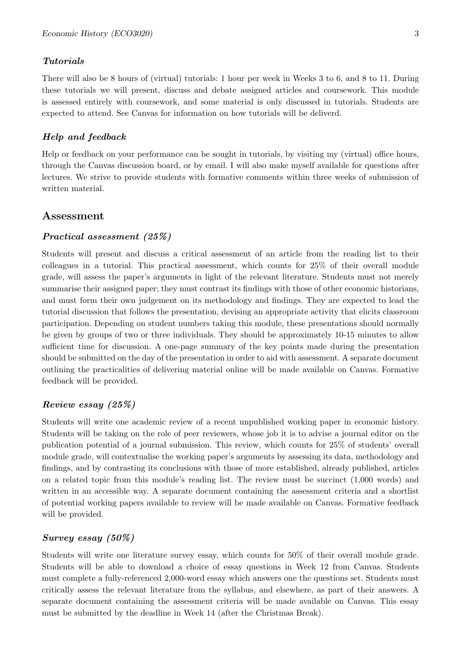#### Tutorials

There will also be 8 hours of (virtual) tutorials: 1 hour per week in Weeks 3 to 6, and 8 to 11. During these tutorials we will present, discuss and debate assigned articles and coursework. This module is assessed entirely with coursework, and some material is only discussed in tutorials. Students are expected to attend. See Canvas for information on how tutorials will be deliverd.

#### Help and feedback

Help or feedback on your performance can be sought in tutorials, by visiting my (virtual) office hours, through the Canvas discussion board, or by email. I will also make myself available for questions after lectures. We strive to provide students with formative comments within three weeks of submission of written material.

### Assessment

#### Practical assessment (25%)

Students will present and discuss a critical assessment of an article from the reading list to their colleagues in a tutorial. This practical assessment, which counts for 25% of their overall module grade, will assess the paper's arguments in light of the relevant literature. Students must not merely summarise their assigned paper; they must contrast its findings with those of other economic historians, and must form their own judgement on its methodology and findings. They are expected to lead the tutorial discussion that follows the presentation, devising an appropriate activity that elicits classroom participation. Depending on student numbers taking this module, these presentations should normally be given by groups of two or three individuals. They should be approximately 10-15 minutes to allow sufficient time for discussion. A one-page summary of the key points made during the presentation should be submitted on the day of the presentation in order to aid with assessment. A separate document outlining the practicalities of delivering material online will be made available on Canvas. Formative feedback will be provided.

#### Review essay (25%)

Students will write one academic review of a recent unpublished working paper in economic history. Students will be taking on the role of peer reviewers, whose job it is to advise a journal editor on the publication potential of a journal submission. This review, which counts for 25% of students' overall module grade, will contextualise the working paper's arguments by assessing its data, methodology and findings, and by contrasting its conclusions with those of more established, already published, articles on a related topic from this module's reading list. The review must be succinct (1,000 words) and written in an accessible way. A separate document containing the assessment criteria and a shortlist of potential working papers available to review will be made available on Canvas. Formative feedback will be provided.

### Survey essay (50%)

Students will write one literature survey essay, which counts for 50% of their overall module grade. Students will be able to download a choice of essay questions in Week 12 from Canvas. Students must complete a fully-referenced 2,000-word essay which answers one the questions set. Students must critically assess the relevant literature from the syllabus, and elsewhere, as part of their answers. A separate document containing the assessment criteria will be made available on Canvas. This essay must be submitted by the deadline in Week 14 (after the Christmas Break).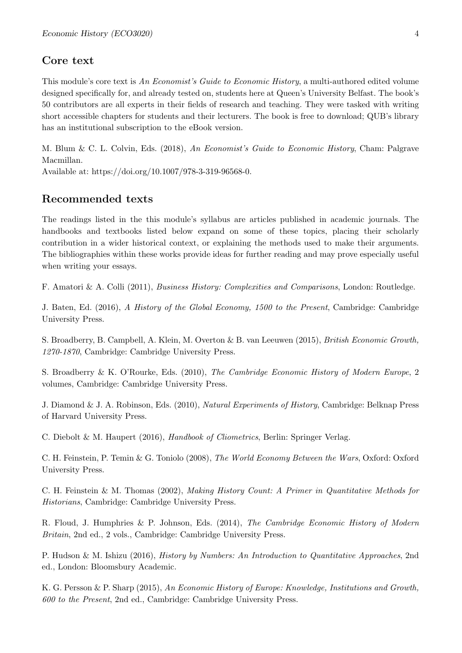# Core text

This module's core text is An Economist's Guide to Economic History, a multi-authored edited volume designed specifically for, and already tested on, students here at Queen's University Belfast. The book's 50 contributors are all experts in their fields of research and teaching. They were tasked with writing short accessible chapters for students and their lecturers. The book is free to download; QUB's library has an institutional subscription to the eBook version.

M. Blum & C. L. Colvin, Eds. (2018), An Economist's Guide to Economic History, Cham: Palgrave Macmillan.

Available at: [https://doi.org/10.1007/978-3-319-96568-0.](https://doi.org/10.1007/978-3-319-96568-0)

### Recommended texts

The readings listed in the this module's syllabus are articles published in academic journals. The handbooks and textbooks listed below expand on some of these topics, placing their scholarly contribution in a wider historical context, or explaining the methods used to make their arguments. The bibliographies within these works provide ideas for further reading and may prove especially useful when writing your essays.

F. Amatori & A. Colli (2011), Business History: Complexities and Comparisons, London: Routledge.

J. Baten, Ed. (2016), A History of the Global Economy, 1500 to the Present, Cambridge: Cambridge University Press.

S. Broadberry, B. Campbell, A. Klein, M. Overton & B. van Leeuwen (2015), British Economic Growth, 1270-1870, Cambridge: Cambridge University Press.

S. Broadberry & K. O'Rourke, Eds. (2010), The Cambridge Economic History of Modern Europe, 2 volumes, Cambridge: Cambridge University Press.

J. Diamond & J. A. Robinson, Eds. (2010), Natural Experiments of History, Cambridge: Belknap Press of Harvard University Press.

C. Diebolt & M. Haupert (2016), Handbook of Cliometrics, Berlin: Springer Verlag.

C. H. Feinstein, P. Temin & G. Toniolo (2008), The World Economy Between the Wars, Oxford: Oxford University Press.

C. H. Feinstein & M. Thomas (2002), Making History Count: A Primer in Quantitative Methods for Historians, Cambridge: Cambridge University Press.

R. Floud, J. Humphries & P. Johnson, Eds. (2014), The Cambridge Economic History of Modern Britain, 2nd ed., 2 vols., Cambridge: Cambridge University Press.

P. Hudson & M. Ishizu (2016), History by Numbers: An Introduction to Quantitative Approaches, 2nd ed., London: Bloomsbury Academic.

K. G. Persson & P. Sharp (2015), An Economic History of Europe: Knowledge, Institutions and Growth, 600 to the Present, 2nd ed., Cambridge: Cambridge University Press.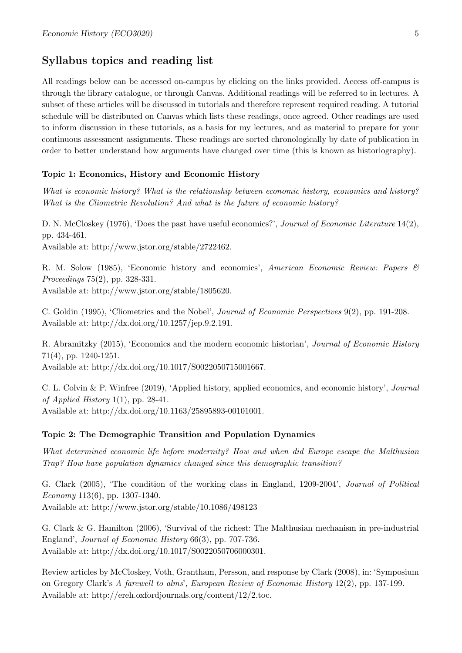# Syllabus topics and reading list

All readings below can be accessed on-campus by clicking on the links provided. Access off-campus is through the library catalogue, or through Canvas. Additional readings will be referred to in lectures. A subset of these articles will be discussed in tutorials and therefore represent required reading. A tutorial schedule will be distributed on Canvas which lists these readings, once agreed. Other readings are used to inform discussion in these tutorials, as a basis for my lectures, and as material to prepare for your continuous assessment assignments. These readings are sorted chronologically by date of publication in order to better understand how arguments have changed over time (this is known as historiography).

#### Topic 1: Economics, History and Economic History

What is economic history? What is the relationship between economic history, economics and history? What is the Cliometric Revolution? And what is the future of economic history?

D. N. McCloskey (1976), 'Does the past have useful economics?', Journal of Economic Literature 14(2), pp. 434-461. Available at: [http://www.jstor.org/stable/2722462.](http://www.jstor.org/stable/2722462)

R. M. Solow (1985), 'Economic history and economics', American Economic Review: Papers  $\mathcal{B}$ Proceedings 75(2), pp. 328-331. Available at: [http://www.jstor.org/stable/1805620.](http://www.jstor.org/stable/1805620)

C. Goldin (1995), 'Cliometrics and the Nobel', Journal of Economic Perspectives 9(2), pp. 191-208. Available at: [http://dx.doi.org/10.1257/jep.9.2.191.](http://dx.doi.org/10.1257/jep.9.2.191)

R. Abramitzky (2015), 'Economics and the modern economic historian', Journal of Economic History 71(4), pp. 1240-1251.

Available at: [http://dx.doi.org/10.1017/S0022050715001667.](http://dx.doi.org/10.1017/S0022050715001667)

C. L. Colvin & P. Winfree (2019), 'Applied history, applied economics, and economic history', Journal of Applied History 1(1), pp. 28-41. Available at: [http://dx.doi.org/10.1163/25895893-00101001.](http://dx.doi.org/10.1163/25895893-00101001)

#### Topic 2: The Demographic Transition and Population Dynamics

What determined economic life before modernity? How and when did Europe escape the Malthusian Trap? How have population dynamics changed since this demographic transition?

G. Clark (2005), 'The condition of the working class in England, 1209-2004', Journal of Political Economy 113(6), pp. 1307-1340.

Available at: <http://www.jstor.org/stable/10.1086/498123>

G. Clark & G. Hamilton (2006), 'Survival of the richest: The Malthusian mechanism in pre-industrial England', Journal of Economic History 66(3), pp. 707-736. Available at: [http://dx.doi.org/10.1017/S0022050706000301.](http://dx.doi.org/10.1017/S0022050706000301)

Review articles by McCloskey, Voth, Grantham, Persson, and response by Clark (2008), in: 'Symposium on Gregory Clark's A farewell to alms', European Review of Economic History 12(2), pp. 137-199. Available at: [http://ereh.oxfordjournals.org/content/12/2.toc.](http://ereh.oxfordjournals.org/content/12/2.toc)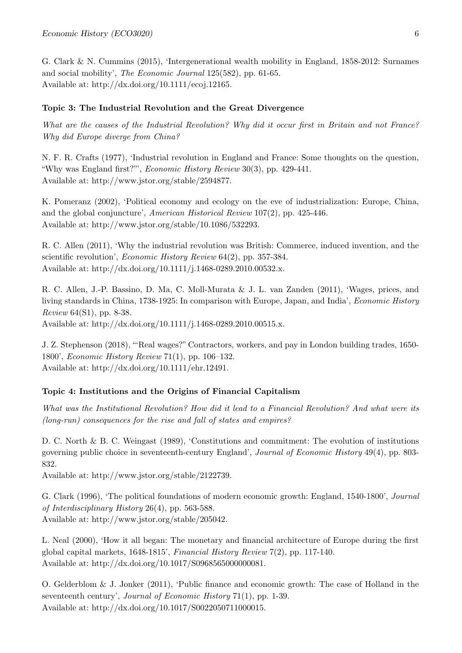G. Clark & N. Cummins (2015), 'Intergenerational wealth mobility in England, 1858-2012: Surnames and social mobility', The Economic Journal 125(582), pp. 61-65. Available at: [http://dx.doi.org/10.1111/ecoj.12165.](http://dx.doi.org/10.1111/ecoj.12165)

#### Topic 3: The Industrial Revolution and the Great Divergence

What are the causes of the Industrial Revolution? Why did it occur first in Britain and not France? Why did Europe diverge from China?

N. F. R. Crafts (1977), 'Industrial revolution in England and France: Some thoughts on the question, "Why was England first?"', Economic History Review 30(3), pp. 429-441. Available at: [http://www.jstor.org/stable/2594877.](http://www.jstor.org/stable/2594877)

K. Pomeranz (2002), 'Political economy and ecology on the eve of industrialization: Europe, China, and the global conjuncture', American Historical Review 107(2), pp. 425-446. Available at: [http://www.jstor.org/stable/10.1086/532293.](http://www.jstor.org/stable/10.1086/532293)

R. C. Allen (2011), 'Why the industrial revolution was British: Commerce, induced invention, and the scientific revolution', *Economic History Review* 64(2), pp. 357-384. Available at: [http://dx.doi.org/10.1111/j.1468-0289.2010.00532.x.](http://dx.doi.org/10.1111/j.1468-0289.2010.00532.x)

R. C. Allen, J.-P. Bassino, D. Ma, C. Moll-Murata & J. L. van Zanden (2011), 'Wages, prices, and living standards in China, 1738-1925: In comparison with Europe, Japan, and India', Economic History Review 64(S1), pp. 8-38.

Available at: [http://dx.doi.org/10.1111/j.1468-0289.2010.00515.x.](http://dx.doi.org/10.1111/j.1468-0289.2010.00515.x)

J. Z. Stephenson (2018), "'Real wages?" Contractors, workers, and pay in London building trades, 1650- 1800', Economic History Review 71(1), pp. 106–132. Available at: [http://dx.doi.org/10.1111/ehr.12491.](http://dx.doi.org/10.1111/ehr.12491)

#### Topic 4: Institutions and the Origins of Financial Capitalism

What was the Institutional Revolution? How did it lead to a Financial Revolution? And what were its (long-run) consequences for the rise and fall of states and empires?

D. C. North & B. C. Weingast (1989), 'Constitutions and commitment: The evolution of institutions governing public choice in seventeenth-century England', Journal of Economic History 49(4), pp. 803- 832.

Available at: [http://www.jstor.org/stable/2122739.](http://www.jstor.org/stable/2122739)

G. Clark (1996), 'The political foundations of modern economic growth: England, 1540-1800', Journal of Interdisciplinary History 26(4), pp. 563-588. Available at: [http://www.jstor.org/stable/205042.](http://www.jstor.org/stable/205042)

L. Neal (2000), 'How it all began: The monetary and financial architecture of Europe during the first global capital markets, 1648-1815', Financial History Review 7(2), pp. 117-140. Available at: [http://dx.doi.org/10.1017/S0968565000000081.](http://dx.doi.org/10.1017/S0968565000000081)

O. Gelderblom & J. Jonker (2011), 'Public finance and economic growth: The case of Holland in the seventeenth century', Journal of Economic History 71(1), pp. 1-39. Available at: [http://dx.doi.org/10.1017/S0022050711000015.](http://dx.doi.org/10.1017/S0022050711000015)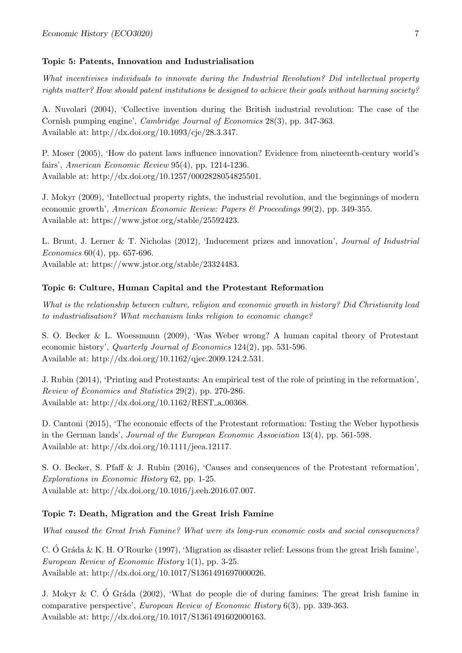#### Topic 5: Patents, Innovation and Industrialisation

What incentivises individuals to innovate during the Industrial Revolution? Did intellectual property rights matter? How should patent institutions be designed to achieve their goals without harming society?

A. Nuvolari (2004), 'Collective invention during the British industrial revolution: The case of the Cornish pumping engine', Cambridge Journal of Economics 28(3), pp. 347-363. Available at: [http://dx.doi.org/10.1093/cje/28.3.347.](http://dx.doi.org/10.1093/cje/28.3.347)

P. Moser (2005), 'How do patent laws influence innovation? Evidence from nineteenth-century world's fairs', American Economic Review 95(4), pp. 1214-1236. Available at: [http://dx.doi.org/10.1257/0002828054825501.](http://dx.doi.org/10.1257/0002828054825501)

J. Mokyr (2009), 'Intellectual property rights, the industrial revolution, and the beginnings of modern economic growth', American Economic Review: Papers & Proceedings 99(2), pp. 349-355. Available at: [https://www.jstor.org/stable/25592423.](https://www.jstor.org/stable/25592423)

L. Brunt, J. Lerner & T. Nicholas (2012), 'Inducement prizes and innovation', Journal of Industrial Economics 60(4), pp. 657-696.

Available at: [https://www.jstor.org/stable/23324483.](https://www.jstor.org/stable/23324483)

#### Topic 6: Culture, Human Capital and the Protestant Reformation

What is the relationship between culture, religion and economic growth in history? Did Christianity lead to industrialisation? What mechanism links religion to economic change?

S. O. Becker & L. Woessmann (2009), 'Was Weber wrong? A human capital theory of Protestant economic history', Quarterly Journal of Economics 124(2), pp. 531-596. Available at: [http://dx.doi.org/10.1162/qjec.2009.124.2.531.](http://dx.doi.org/10.1162/qjec.2009.124.2.531)

J. Rubin (2014), 'Printing and Protestants: An empirical test of the role of printing in the reformation', Review of Economics and Statistics 29(2), pp. 270-286. Available at: [http://dx.doi.org/10.1162/REST](http://dx.doi.org/10.1162/REST_a_00368)\_a\_00368.

D. Cantoni (2015), 'The economic effects of the Protestant reformation: Testing the Weber hypothesis in the German lands', Journal of the European Economic Association 13(4), pp. 561-598. Available at: [http://dx.doi.org/10.1111/jeea.12117.](http://dx.doi.org/10.1111/jeea.12117)

S. O. Becker, S. Pfaff & J. Rubin (2016), 'Causes and consequences of the Protestant reformation', Explorations in Economic History 62, pp. 1-25. Available at: [http://dx.doi.org/10.1016/j.eeh.2016.07.007.](http://dx.doi.org/10.1016/j.eeh.2016.07.007)

#### Topic 7: Death, Migration and the Great Irish Famine

What caused the Great Irish Famine? What were its long-run economic costs and social consequences?

C. Ó Gráda & K. H. O'Rourke (1997), 'Migration as disaster relief: Lessons from the great Irish famine', European Review of Economic History 1(1), pp. 3-25. Available at: [http://dx.doi.org/10.1017/S1361491697000026.](http://dx.doi.org/10.1017/S1361491697000026)

J. Mokyr & C. Ó Gráda (2002), 'What do people die of during famines: The great Irish famine in comparative perspective', European Review of Economic History 6(3), pp. 339-363. Available at: [http://dx.doi.org/10.1017/S1361491602000163.](http://dx.doi.org/10.1017/S1361491602000163)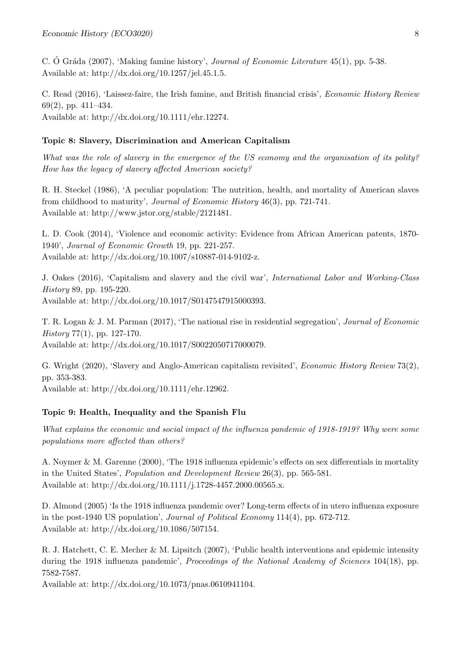C. Ó Gráda (2007), 'Making famine history', *Journal of Economic Literature* 45(1), pp. 5-38. Available at: [http://dx.doi.org/10.1257/jel.45.1.5.](http://dx.doi.org/10.1257/jel.45.1.5)

C. Read (2016), 'Laissez-faire, the Irish famine, and British financial crisis', Economic History Review 69(2), pp. 411–434. Available at: [http://dx.doi.org/10.1111/ehr.12274.](http://dx.doi.org/10.1111/ehr.12274)

#### Topic 8: Slavery, Discrimination and American Capitalism

What was the role of slavery in the emergence of the US economy and the organisation of its polity? How has the legacy of slavery affected American society?

R. H. Steckel (1986), 'A peculiar population: The nutrition, health, and mortality of American slaves from childhood to maturity', Journal of Economic History 46(3), pp. 721-741. Available at: [http://www.jstor.org/stable/2121481.](http://www.jstor.org/stable/2121481)

L. D. Cook (2014), 'Violence and economic activity: Evidence from African American patents, 1870- 1940', Journal of Economic Growth 19, pp. 221-257. Available at: [http://dx.doi.org/10.1007/s10887-014-9102-z.](http://dx.doi.org/10.1007/s10887-014-9102-z)

J. Oakes (2016), 'Capitalism and slavery and the civil war', International Labor and Working-Class History 89, pp. 195-220. Available at: [http://dx.doi.org/10.1017/S0147547915000393.](http://dx.doi.org/10.1017/S0147547915000393)

T. R. Logan & J. M. Parman (2017), 'The national rise in residential segregation', Journal of Economic History 77(1), pp. 127-170.

Available at: [http://dx.doi.org/10.1017/S0022050717000079.](http://dx.doi.org/10.1017/S0022050717000079)

G. Wright (2020), 'Slavery and Anglo-American capitalism revisited', Economic History Review 73(2), pp. 353-383.

Available at: [http://dx.doi.org/10.1111/ehr.12962.](http://dx.doi.org/10.1111/ehr.12962)

### Topic 9: Health, Inequality and the Spanish Flu

What explains the economic and social impact of the influenza pandemic of 1918-1919? Why were some populations more affected than others?

A. Noymer & M. Garenne (2000), 'The 1918 influenza epidemic's effects on sex differentials in mortality in the United States', Population and Development Review 26(3), pp. 565-581. Available at: [http://dx.doi.org/10.1111/j.1728-4457.2000.00565.x.](http://dx.doi.org/10.1111/j.1728-4457.2000.00565.x)

D. Almond (2005) 'Is the 1918 influenza pandemic over? Long-term effects of in utero influenza exposure in the post-1940 US population', Journal of Political Economy 114(4), pp. 672-712. Available at: [http://dx.doi.org/10.1086/507154.](http://dx.doi.org/10.1086/507154)

R. J. Hatchett, C. E. Mecher & M. Lipsitch (2007), 'Public health interventions and epidemic intensity during the 1918 influenza pandemic', Proceedings of the National Academy of Sciences 104(18), pp. 7582-7587.

Available at: [http://dx.doi.org/10.1073/pnas.0610941104.](http://dx.doi.org/10.1073/pnas.0610941104)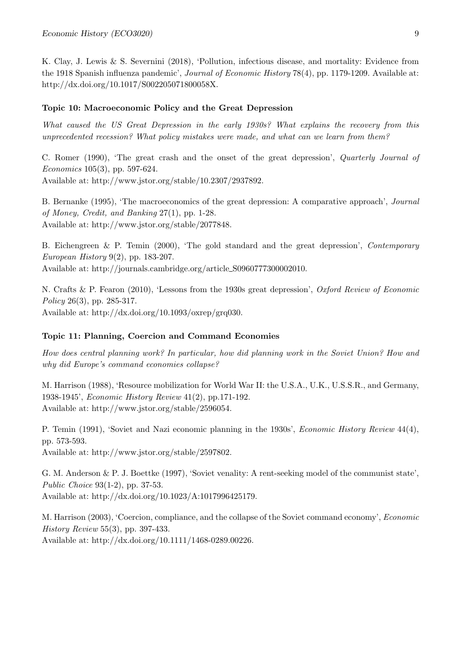K. Clay, J. Lewis & S. Severnini (2018), 'Pollution, infectious disease, and mortality: Evidence from the 1918 Spanish influenza pandemic', Journal of Economic History 78(4), pp. 1179-1209. Available at: [http://dx.doi.org/10.1017/S002205071800058X.](http://dx.doi.org/10.1017/S002205071800058X)

#### Topic 10: Macroeconomic Policy and the Great Depression

What caused the US Great Depression in the early 1930s? What explains the recovery from this unprecedented recession? What policy mistakes were made, and what can we learn from them?

C. Romer (1990), 'The great crash and the onset of the great depression', Quarterly Journal of Economics 105(3), pp. 597-624.

Available at: [http://www.jstor.org/stable/10.2307/2937892.](http://www.jstor.org/stable/10.2307/2937892)

B. Bernanke (1995), 'The macroeconomics of the great depression: A comparative approach', Journal of Money, Credit, and Banking 27(1), pp. 1-28. Available at: [http://www.jstor.org/stable/2077848.](http://www.jstor.org/stable/2077848)

B. Eichengreen & P. Temin (2000), 'The gold standard and the great depression', Contemporary European History  $9(2)$ , pp. 183-207.

Available at: [http://journals.cambridge.org/article](http://journals.cambridge.org/article_S0960777300002010) S0960777300002010.

N. Crafts & P. Fearon (2010), 'Lessons from the 1930s great depression', Oxford Review of Economic Policy 26(3), pp. 285-317. Available at: [http://dx.doi.org/10.1093/oxrep/grq030.](http://dx.doi.org/10.1093/oxrep/grq030)

#### Topic 11: Planning, Coercion and Command Economies

How does central planning work? In particular, how did planning work in the Soviet Union? How and why did Europe's command economies collapse?

M. Harrison (1988), 'Resource mobilization for World War II: the U.S.A., U.K., U.S.S.R., and Germany, 1938-1945', Economic History Review 41(2), pp.171-192. Available at: [http://www.jstor.org/stable/2596054.](http://www.jstor.org/stable/2596054)

P. Temin (1991), 'Soviet and Nazi economic planning in the 1930s', *Economic History Review* 44(4), pp. 573-593.

Available at: [http://www.jstor.org/stable/2597802.](http://www.jstor.org/stable/2597802)

G. M. Anderson & P. J. Boettke (1997), 'Soviet venality: A rent-seeking model of the communist state', Public Choice 93(1-2), pp. 37-53. Available at: [http://dx.doi.org/10.1023/A:1017996425179.](http://dx.doi.org/10.1023/A:1017996425179)

M. Harrison (2003), 'Coercion, compliance, and the collapse of the Soviet command economy', Economic History Review 55(3), pp. 397-433. Available at: [http://dx.doi.org/10.1111/1468-0289.00226.](http://dx.doi.org/10.1111/1468-0289.00226)